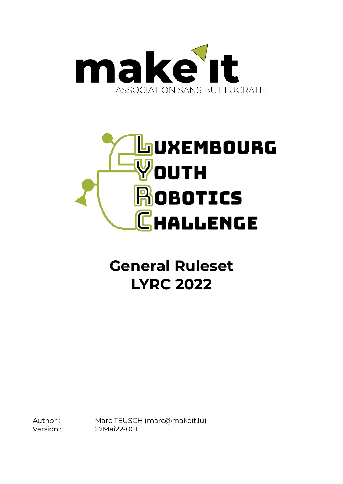



### **General Ruleset LYRC 2022**

Author : Marc TEUSCH (marc@makeit.lu) Version : 27Mai22-001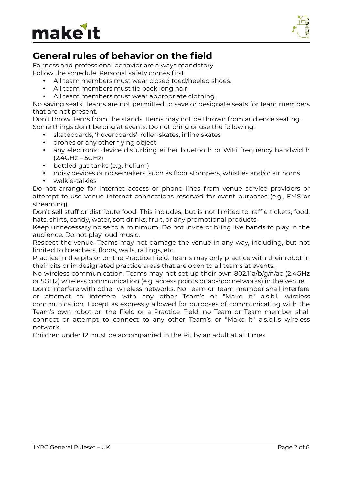



### **General rules of behavior on the field**

Fairness and professional behavior are always mandatory Follow the schedule. Personal safety comes first.

- All team members must wear closed toed/heeled shoes.
- All team members must tie back long hair.
- All team members must wear appropriate clothing.

No saving seats. Teams are not permitted to save or designate seats for team members that are not present.

Don't throw items from the stands. Items may not be thrown from audience seating. Some things don't belong at events. Do not bring or use the following:

- skateboards, 'hoverboards', roller-skates, inline skates
- drones or any other flying object
- any electronic device disturbing either bluetooth or WiFi frequency bandwidth (2.4GHz – 5GHz)
- bottled gas tanks (e.g. helium)
- noisy devices or noisemakers, such as floor stompers, whistles and/or air horns
- walkie-talkies

Do not arrange for Internet access or phone lines from venue service providers or attempt to use venue internet connections reserved for event purposes (e.g., FMS or streaming).

Don't sell stuff or distribute food. This includes, but is not limited to, raffle tickets, food, hats, shirts, candy, water, soft drinks, fruit, or any promotional products.

Keep unnecessary noise to a minimum. Do not invite or bring live bands to play in the audience. Do not play loud music.

Respect the venue. Teams may not damage the venue in any way, including, but not limited to bleachers, floors, walls, railings, etc.

Practice in the pits or on the Practice Field. Teams may only practice with their robot in their pits or in designated practice areas that are open to all teams at events.

No wireless communication. Teams may not set up their own 802.11a/b/g/n/ac (2.4GHz or 5GHz) wireless communication (e.g. access points or ad-hoc networks) in the venue.

Don't interfere with other wireless networks. No Team or Team member shall interfere or attempt to interfere with any other Team's or "Make it" a.s.b.l. wireless communication. Except as expressly allowed for purposes of communicating with the Team's own robot on the Field or a Practice Field, no Team or Team member shall connect or attempt to connect to any other Team's or "Make it" a.s.b.l.'s wireless network.

Children under 12 must be accompanied in the Pit by an adult at all times.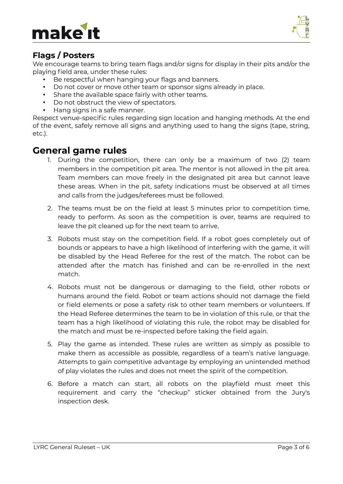## make



#### **Flags / Posters**

We encourage teams to bring team flags and/or signs for display in their pits and/or the playing field area, under these rules:

- Be respectful when hanging your flags and banners.
- Do not cover or move other team or sponsor signs already in place.
- Share the available space fairly with other teams.
- Do not obstruct the view of spectators.
- Hang signs in a safe manner.

Respect venue-specific rules regarding sign location and hanging methods. At the end of the event, safely remove all signs and anything used to hang the signs (tape, string, etc.).

#### **General game rules**

- 1. During the competition, there can only be a maximum of two (2) team members in the competition pit area. The mentor is not allowed in the pit area. Team members can move freely in the designated pit area but cannot leave these areas. When in the pit, safety indications must be observed at all times and calls from the judges/referees must be followed.
- 2. The teams must be on the field at least 5 minutes prior to competition time, ready to perform. As soon as the competition is over, teams are required to leave the pit cleaned up for the next team to arrive.
- 3. Robots must stay on the competition field. If a robot goes completely out of bounds or appears to have a high likelihood of interfering with the game, it will be disabled by the Head Referee for the rest of the match. The robot can be attended after the match has finished and can be re-enrolled in the next match.
- 4. Robots must not be dangerous or damaging to the field, other robots or humans around the field. Robot or team actions should not damage the field or field elements or pose a safety risk to other team members or volunteers. If the Head Referee determines the team to be in violation of this rule, or that the team has a high likelihood of violating this rule, the robot may be disabled for the match and must be re-inspected before taking the field again.
- 5. Play the game as intended. These rules are written as simply as possible to make them as accessible as possible, regardless of a team's native language. Attempts to gain competitive advantage by employing an unintended method of play violates the rules and does not meet the spirit of the competition.
- 6. Before a match can start, all robots on the playfield must meet this requirement and carry the "checkup" sticker obtained from the Jury's inspection desk.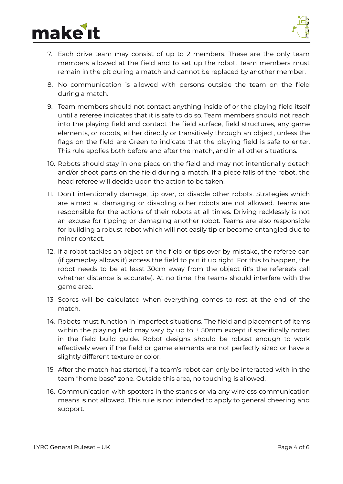# make



- 7. Each drive team may consist of up to 2 members. These are the only team members allowed at the field and to set up the robot. Team members must remain in the pit during a match and cannot be replaced by another member.
- 8. No communication is allowed with persons outside the team on the field during a match.
- 9. Team members should not contact anything inside of or the playing field itself until a referee indicates that it is safe to do so. Team members should not reach into the playing field and contact the field surface, field structures, any game elements, or robots, either directly or transitively through an object, unless the flags on the field are Green to indicate that the playing field is safe to enter. This rule applies both before and after the match, and in all other situations.
- 10. Robots should stay in one piece on the field and may not intentionally detach and/or shoot parts on the field during a match. If a piece falls of the robot, the head referee will decide upon the action to be taken.
- 11. Don't intentionally damage, tip over, or disable other robots. Strategies which are aimed at damaging or disabling other robots are not allowed. Teams are responsible for the actions of their robots at all times. Driving recklessly is not an excuse for tipping or damaging another robot. Teams are also responsible for building a robust robot which will not easily tip or become entangled due to minor contact.
- 12. If a robot tackles an object on the field or tips over by mistake, the referee can (if gameplay allows it) access the field to put it up right. For this to happen, the robot needs to be at least 30cm away from the object (it's the referee's call whether distance is accurate). At no time, the teams should interfere with the game area.
- 13. Scores will be calculated when everything comes to rest at the end of the match.
- 14. Robots must function in imperfect situations. The field and placement of items within the playing field may vary by up to  $\pm$  50mm except if specifically noted in the field build guide. Robot designs should be robust enough to work effectively even if the field or game elements are not perfectly sized or have a slightly different texture or color.
- 15. After the match has started, if a team's robot can only be interacted with in the team "home base" zone. Outside this area, no touching is allowed.
- 16. Communication with spotters in the stands or via any wireless communication means is not allowed. This rule is not intended to apply to general cheering and support.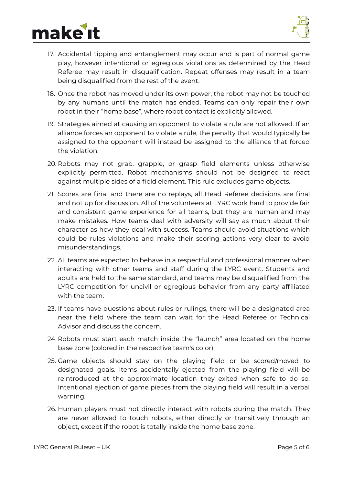



- 17. Accidental tipping and entanglement may occur and is part of normal game play, however intentional or egregious violations as determined by the Head Referee may result in disqualification. Repeat offenses may result in a team being disqualified from the rest of the event.
- 18. Once the robot has moved under its own power, the robot may not be touched by any humans until the match has ended. Teams can only repair their own robot in their "home base", where robot contact is explicitly allowed.
- 19. Strategies aimed at causing an opponent to violate a rule are not allowed. If an alliance forces an opponent to violate a rule, the penalty that would typically be assigned to the opponent will instead be assigned to the alliance that forced the violation.
- 20. Robots may not grab, grapple, or grasp field elements unless otherwise explicitly permitted. Robot mechanisms should not be designed to react against multiple sides of a field element. This rule excludes game objects.
- 21. Scores are final and there are no replays, all Head Referee decisions are final and not up for discussion. All of the volunteers at LYRC work hard to provide fair and consistent game experience for all teams, but they are human and may make mistakes. How teams deal with adversity will say as much about their character as how they deal with success. Teams should avoid situations which could be rules violations and make their scoring actions very clear to avoid misunderstandings.
- 22. All teams are expected to behave in a respectful and professional manner when interacting with other teams and staff during the LYRC event. Students and adults are held to the same standard, and teams may be disqualified from the LYRC competition for uncivil or egregious behavior from any party affiliated with the team.
- 23. If teams have questions about rules or rulings, there will be a designated area near the field where the team can wait for the Head Referee or Technical Advisor and discuss the concern.
- 24. Robots must start each match inside the "launch" area located on the home base zone (colored in the respective team's color).
- 25. Game objects should stay on the playing field or be scored/moved to designated goals. Items accidentally ejected from the playing field will be reintroduced at the approximate location they exited when safe to do so. Intentional ejection of game pieces from the playing field will result in a verbal warning.
- 26. Human players must not directly interact with robots during the match. They are never allowed to touch robots, either directly or transitively through an object, except if the robot is totally inside the home base zone.